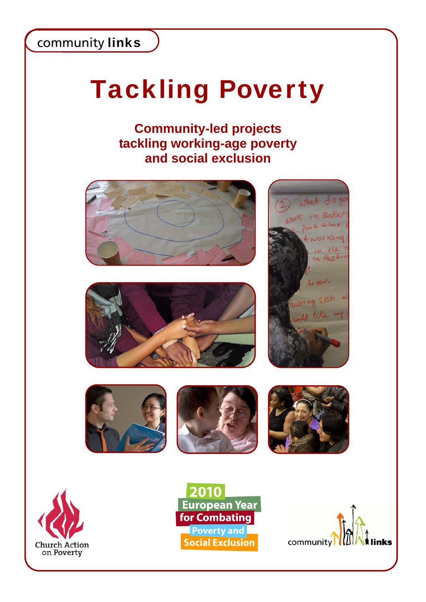# Tackling Poverty

### **Community-led projects tackling working-age poverty and social exclusion**

















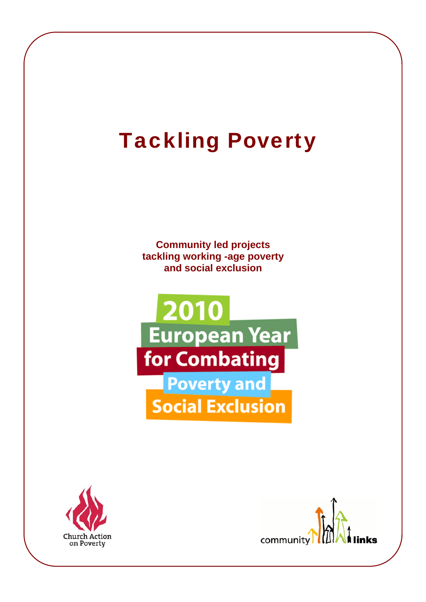### Tackling Poverty

**Community led projects tackling working -age poverty and social exclusion** 





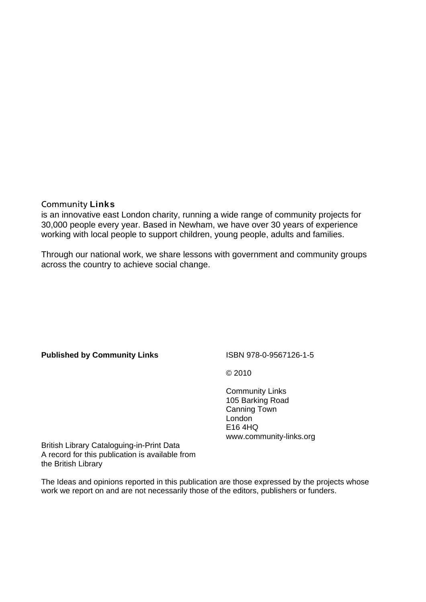#### Community Links

is an innovative east London charity, running a wide range of community projects for 30,000 people every year. Based in Newham, we have over 30 years of experience working with local people to support children, young people, adults and families.

Through our national work, we share lessons with government and community groups across the country to achieve social change.

#### **Published by Community Links**

#### ISBN 978-0-9567126-1-5

© 2010

Community Links 105 Barking Road Canning Town London E16 4HQ www.community-links.org

British Library Cataloguing-in-Print Data A record for this publication is available from the British Library

The Ideas and opinions reported in this publication are those expressed by the projects whose work we report on and are not necessarily those of the editors, publishers or funders.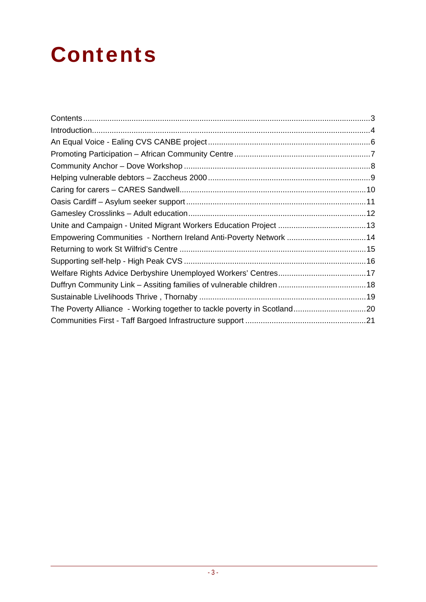### **Contents**

| Empowering Communities - Northern Ireland Anti-Poverty Network 14 |  |
|-------------------------------------------------------------------|--|
|                                                                   |  |
|                                                                   |  |
|                                                                   |  |
|                                                                   |  |
|                                                                   |  |
|                                                                   |  |
|                                                                   |  |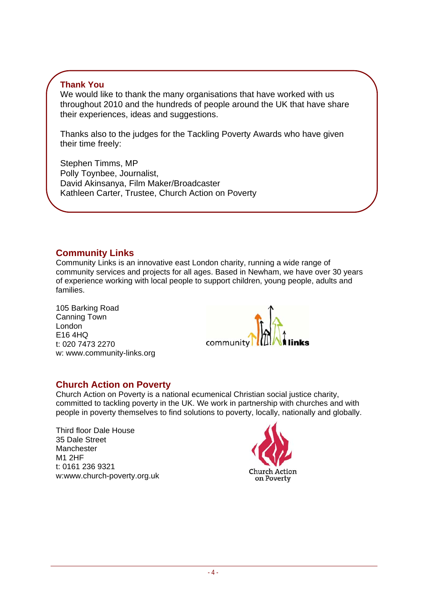### **Thank You**

We would like to thank the many organisations that have worked with us throughout 2010 and the hundreds of people around the UK that have share their experiences, ideas and suggestions.

Thanks also to the judges for the Tackling Poverty Awards who have given their time freely:

Stephen Timms, MP Polly Toynbee, Journalist, David Akinsanya, Film Maker/Broadcaster Kathleen Carter, Trustee, Church Action on Poverty

### **Community Links**

Community Links is an innovative east London charity, running a wide range of community services and projects for all ages. Based in Newham, we have over 30 years of experience working with local people to support children, young people, adults and families.

105 Barking Road Canning Town London E16 4HQ t: 020 7473 2270 w: www.community-links.org



### **Church Action on Poverty**

Church Action on Poverty is a national ecumenical Christian social justice charity, committed to tackling poverty in the UK. We work in partnership with churches and with people in poverty themselves to find solutions to poverty, locally, nationally and globally.

Third floor Dale House 35 Dale Street Manchester M1 2HF t: 0161 236 9321 w:www.church-poverty.org.uk

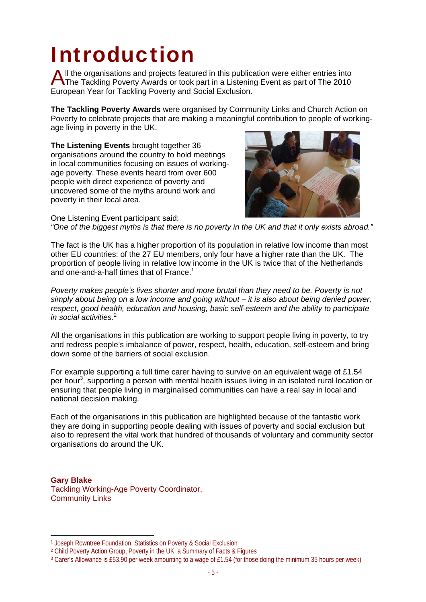### Introduction

If the organisations and projects featured in this publication were either entries into All the organisations and projects featured in this publication were either entries into<br>The Tackling Poverty Awards or took part in a Listening Event as part of The 2010 European Year for Tackling Poverty and Social Exclusion.

**The Tackling Poverty Awards** were organised by Community Links and Church Action on Poverty to celebrate projects that are making a meaningful contribution to people of workingage living in poverty in the UK.

**The Listening Events** brought together 36 organisations around the country to hold meetings in local communities focusing on issues of workingage poverty. These events heard from over 600 people with direct experience of poverty and uncovered some of the myths around work and poverty in their local area.



One Listening Event participant said: *"One of the biggest myths is that there is no poverty in the UK and that it only exists abroad."* 

The fact is the UK has a higher proportion of its population in relative low income than most other EU countries: of the 27 EU members, only four have a higher rate than the UK. The proportion of people living in relative low income in the UK is twice that of the Netherlands and one-and-a-half times that of France.<sup>1</sup>

*Poverty makes people's lives shorter and more brutal than they need to be. Poverty is not simply about being on a low income and going without – it is also about being denied power, respect, good health, education and housing, basic self-esteem and the ability to participate in social activities*. 2

All the organisations in this publication are working to support people living in poverty, to try and redress people's imbalance of power, respect, health, education, self-esteem and bring down some of the barriers of social exclusion.

For example supporting a full time carer having to survive on an equivalent wage of £1.54 per hour<sup>3</sup>, supporting a person with mental health issues living in an isolated rural location or ensuring that people living in marginalised communities can have a real say in local and national decision making.

Each of the organisations in this publication are highlighted because of the fantastic work they are doing in supporting people dealing with issues of poverty and social exclusion but also to represent the vital work that hundred of thousands of voluntary and community sector organisations do around the UK.

**Gary Blake**  Tackling Working-Age Poverty Coordinator, Community Links

 $\overline{\phantom{a}}$ 

<sup>1</sup> Joseph Rowntree Foundation, Statistics on Poverty & Social Exclusion

<sup>2</sup> Child Poverty Action Group, Poverty in the UK: a Summary of Facts & Figures

<sup>3</sup> Carer's Allowance is £53.90 per week amounting to a wage of £1.54 (for those doing the minimum 35 hours per week)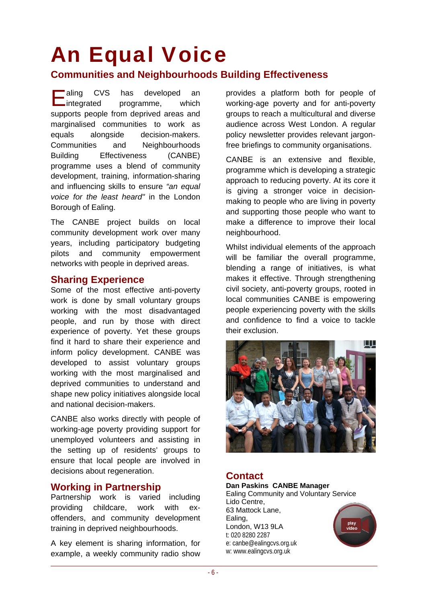# An Equal Voice

### **Communities and Neighbourhoods Building Effectiveness**

CVS has developed an integrated programme, which supports people from deprived areas and marginalised communities to work as equals alongside decision-makers. Communities and Neighbourhoods Building Effectiveness (CANBE) programme uses a blend of community development, training, information-sharing and influencing skills to ensure *"an equal voice for the least heard"* in the London Borough of Ealing.  $\blacksquare$  aling

The CANBE project builds on local community development work over many years, including participatory budgeting pilots and community empowerment networks with people in deprived areas.

### **Sharing Experience**

Some of the most effective anti-poverty work is done by small voluntary groups working with the most disadvantaged people, and run by those with direct experience of poverty. Yet these groups find it hard to share their experience and inform policy development. CANBE was developed to assist voluntary groups working with the most marginalised and deprived communities to understand and shape new policy initiatives alongside local and national decision-makers.

CANBE also works directly with people of working-age poverty providing support for unemployed volunteers and assisting in the setting up of residents' groups to ensure that local people are involved in decisions about regeneration.

### **Working in Partnership**

Partnership work is varied including providing childcare, work with exoffenders, and community development training in deprived neighbourhoods.

A key element is sharing information, for example, a weekly community radio show

provides a platform both for people of working-age poverty and for anti-poverty groups to reach a multicultural and diverse audience across West London. A regular policy newsletter provides relevant jargonfree briefings to community organisations.

CANBE is an extensive and flexible, programme which is developing a strategic approach to reducing poverty. At its core it is giving a stronger voice in decisionmaking to people who are living in poverty and supporting those people who want to make a difference to improve their local neighbourhood.

Whilst individual elements of the approach will be familiar the overall programme, blending a range of initiatives, is what makes it effective. Through strengthening civil society, anti-poverty groups, rooted in local communities CANBE is empowering people experiencing poverty with the skills and confidence to find a voice to tackle their exclusion.



### **Contact**

**Dan Paskins CANBE Manager**  Ealing Community and Voluntary Service Lido Centre, 63 Mattock Lane, Ealing, play<br>video London, W13 9LA t: 020 8280 2287 e: canbe@ealingcvs.org.uk w: www.ealingcvs.org.uk

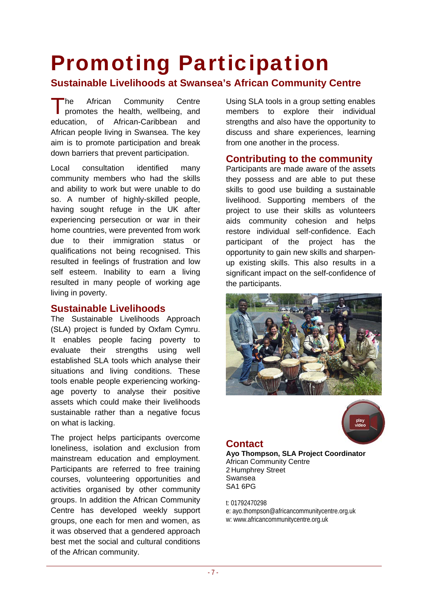### Promoting Participation

### **Sustainable Livelihoods at Swansea's African Community Centre**

he African Community Centre The African Community Centre<br>
promotes the health, wellbeing, and education, of African-Caribbean and African people living in Swansea. The key aim is to promote participation and break down barriers that prevent participation.

Local consultation identified many community members who had the skills and ability to work but were unable to do so. A number of highly-skilled people, having sought refuge in the UK after experiencing persecution or war in their home countries, were prevented from work due to their immigration status or qualifications not being recognised. This resulted in feelings of frustration and low self esteem. Inability to earn a living resulted in many people of working age living in poverty.

### **Sustainable Livelihoods**

The Sustainable Livelihoods Approach (SLA) project is funded by Oxfam Cymru. It enables people facing poverty to evaluate their strengths using well established SLA tools which analyse their situations and living conditions. These tools enable people experiencing workingage poverty to analyse their positive assets which could make their livelihoods sustainable rather than a negative focus on what is lacking.

The project helps participants overcome loneliness, isolation and exclusion from mainstream education and employment. Participants are referred to free training courses, volunteering opportunities and activities organised by other community groups. In addition the African Community Centre has developed weekly support groups, one each for men and women, as it was observed that a gendered approach best met the social and cultural conditions of the African community.

Using SLA tools in a group setting enables members to explore their individual strengths and also have the opportunity to discuss and share experiences, learning from one another in the process.

### **Contributing to the community**

Participants are made aware of the assets they possess and are able to put these skills to good use building a sustainable livelihood. Supporting members of the project to use their skills as volunteers aids community cohesion and helps restore individual self-confidence. Each participant of the project has the opportunity to gain new skills and sharpenup existing skills. This also results in a significant impact on the self-confidence of the participants.





### **Contact**

**Ayo Thompson, SLA Project Coordinator**  African Community Centre 2 Humphrey Street Swansea SA1 6PG

t: 01792470298 e: ayo.thompson@africancommunitycentre.org.uk w: www.africancommunitycentre.org.uk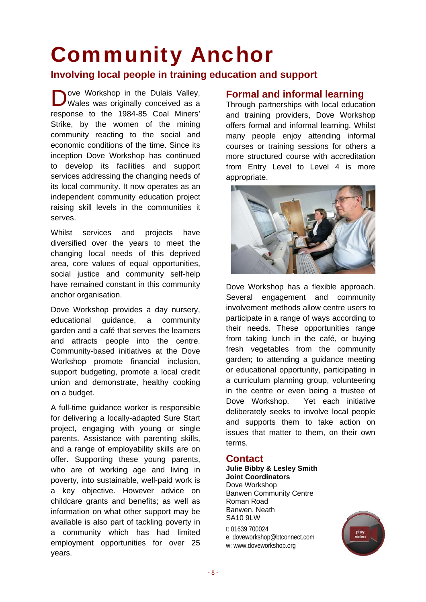## Community Anchor

### **Involving local people in training education and support**

Ove Workshop in the Dulais Valley,<br>
Wales was originally conceived as a Wales was originally conceived as a response to the 1984-85 Coal Miners' Strike, by the women of the mining community reacting to the social and economic conditions of the time. Since its inception Dove Workshop has continued to develop its facilities and support services addressing the changing needs of its local community. It now operates as an independent community education project raising skill levels in the communities it serves.

Whilst services and projects have diversified over the years to meet the changing local needs of this deprived area, core values of equal opportunities, social justice and community self-help have remained constant in this community anchor organisation.

Dove Workshop provides a day nursery, educational guidance, a community garden and a café that serves the learners and attracts people into the centre. Community-based initiatives at the Dove Workshop promote financial inclusion, support budgeting, promote a local credit union and demonstrate, healthy cooking on a budget.

A full-time guidance worker is responsible for delivering a locally-adapted Sure Start project, engaging with young or single parents. Assistance with parenting skills, and a range of employability skills are on offer. Supporting these young parents, who are of working age and living in poverty, into sustainable, well-paid work is a key objective. However advice on childcare grants and benefits; as well as information on what other support may be available is also part of tackling poverty in a community which has had limited employment opportunities for over 25 years.

#### **Formal and informal learning**

Through partnerships with local education and training providers, Dove Workshop offers formal and informal learning. Whilst many people enjoy attending informal courses or training sessions for others a more structured course with accreditation from Entry Level to Level 4 is more appropriate.



Dove Workshop has a flexible approach. Several engagement and community involvement methods allow centre users to participate in a range of ways according to their needs. These opportunities range from taking lunch in the café, or buying fresh vegetables from the community garden; to attending a guidance meeting or educational opportunity, participating in a curriculum planning group, volunteering in the centre or even being a trustee of Dove Workshop. Yet each initiative deliberately seeks to involve local people and supports them to take action on issues that matter to them, on their own terms.

### **Contact**

**Julie Bibby & Lesley Smith Joint Coordinators**  Dove Workshop Banwen Community Centre Roman Road Banwen, Neath SA10 9LW t: 01639 700024 e: doveworkshop@btconnect.com w: www.doveworkshop.org

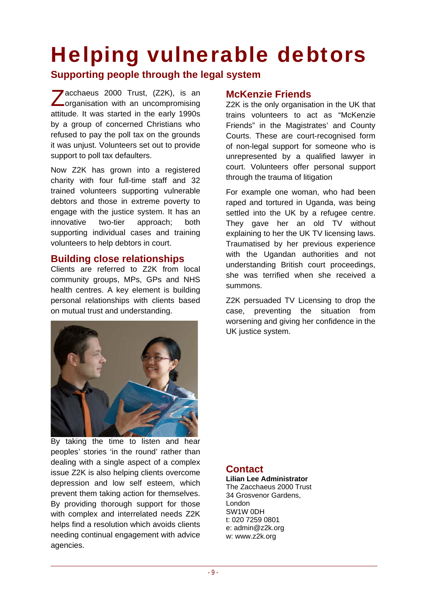### Helping vulnerable debtors

### **Supporting people through the legal system**

Zacchaeus 2000 Trust, (Z2K), is an<br>Zorganisation with an uncompromising organisation with an uncompromising attitude. It was started in the early 1990s by a group of concerned Christians who refused to pay the poll tax on the grounds it was unjust. Volunteers set out to provide support to poll tax defaulters.

Now Z2K has grown into a registered charity with four full-time staff and 32 trained volunteers supporting vulnerable debtors and those in extreme poverty to engage with the justice system. It has an innovative two-tier approach; both supporting individual cases and training volunteers to help debtors in court.

#### **Building close relationships**

Clients are referred to Z2K from local community groups, MPs, GPs and NHS health centres. A key element is building personal relationships with clients based on mutual trust and understanding.



By taking the time to listen and hear peoples' stories 'in the round' rather than dealing with a single aspect of a complex issue Z2K is also helping clients overcome depression and low self esteem, which prevent them taking action for themselves. By providing thorough support for those with complex and interrelated needs Z2K helps find a resolution which avoids clients needing continual engagement with advice agencies.

### **McKenzie Friends**

Z2K is the only organisation in the UK that trains volunteers to act as "McKenzie Friends" in the Magistrates' and County Courts. These are court-recognised form of non-legal support for someone who is unrepresented by a qualified lawyer in court. Volunteers offer personal support through the trauma of litigation

For example one woman, who had been raped and tortured in Uganda, was being settled into the UK by a refugee centre. They gave her an old TV without explaining to her the UK TV licensing laws. Traumatised by her previous experience with the Ugandan authorities and not understanding British court proceedings, she was terrified when she received a summons.

Z2K persuaded TV Licensing to drop the case, preventing the situation from worsening and giving her confidence in the UK justice system.

### **Contact**

**Lilian Lee Administrator**  The Zacchaeus 2000 Trust 34 Grosvenor Gardens, London SW1W 0DH t: 020 7259 0801 e: admin@z2k.org w: www.z2k.org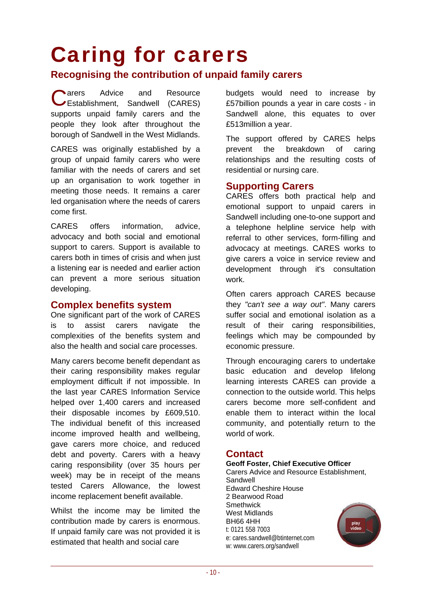### Caring for carers

### **Recognising the contribution of unpaid family carers**

**ADD** arers Advice and Resource Carers Advice and Resource<br>
CEstablishment, Sandwell (CARES) supports unpaid family carers and the people they look after throughout the borough of Sandwell in the West Midlands.

CARES was originally established by a group of unpaid family carers who were familiar with the needs of carers and set up an organisation to work together in meeting those needs. It remains a carer led organisation where the needs of carers come first.

CARES offers information, advice, advocacy and both social and emotional support to carers. Support is available to carers both in times of crisis and when just a listening ear is needed and earlier action can prevent a more serious situation developing.

#### **Complex benefits system**

One significant part of the work of CARES is to assist carers navigate the complexities of the benefits system and also the health and social care processes.

Many carers become benefit dependant as their caring responsibility makes regular employment difficult if not impossible. In the last year CARES Information Service helped over 1,400 carers and increased their disposable incomes by £609,510. The individual benefit of this increased income improved health and wellbeing, gave carers more choice, and reduced debt and poverty. Carers with a heavy caring responsibility (over 35 hours per week) may be in receipt of the means tested Carers Allowance, the lowest income replacement benefit available.

Whilst the income may be limited the contribution made by carers is enormous. If unpaid family care was not provided it is estimated that health and social care

budgets would need to increase by £57billion pounds a year in care costs - in Sandwell alone, this equates to over £513million a year.

The support offered by CARES helps prevent the breakdown of caring relationships and the resulting costs of residential or nursing care.

#### **Supporting Carers**

CARES offers both practical help and emotional support to unpaid carers in Sandwell including one-to-one support and a telephone helpline service help with referral to other services, form-filling and advocacy at meetings. CARES works to give carers a voice in service review and development through it's consultation work.

Often carers approach CARES because they *"can't see a way out"*. Many carers suffer social and emotional isolation as a result of their caring responsibilities, feelings which may be compounded by economic pressure.

Through encouraging carers to undertake basic education and develop lifelong learning interests CARES can provide a connection to the outside world. This helps carers become more self-confident and enable them to interact within the local community, and potentially return to the world of work.

#### **Contact**

**Geoff Foster, Chief Executive Officer**  Carers Advice and Resource Establishment, Sandwell Edward Cheshire House 2 Bearwood Road **Smethwick** West Midlands BH66 4HH play<br>video t: 0121 558 7003 e: cares.sandwell@btinternet.com w: www.carers.org/sandwell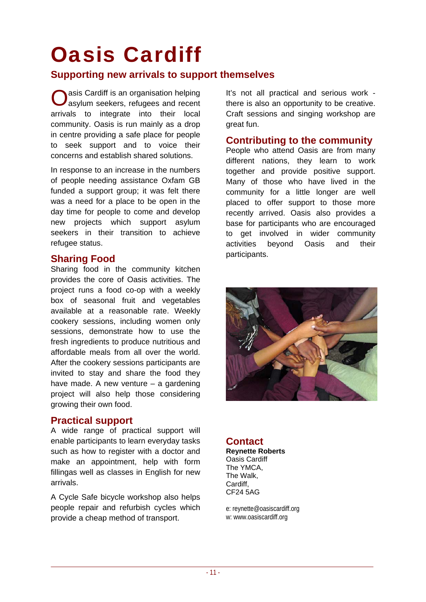### Oasis Cardiff

### **Supporting new arrivals to support themselves**

**O** asis Cardiff is an organisation helping<br>asylum seekers, refugees and recent asylum seekers, refugees and recent arrivals to integrate into their local community. Oasis is run mainly as a drop in centre providing a safe place for people to seek support and to voice their concerns and establish shared solutions.

In response to an increase in the numbers of people needing assistance Oxfam GB funded a support group; it was felt there was a need for a place to be open in the day time for people to come and develop new projects which support asylum seekers in their transition to achieve refugee status.

### **Sharing Food**

Sharing food in the community kitchen provides the core of Oasis activities. The project runs a food co-op with a weekly box of seasonal fruit and vegetables available at a reasonable rate. Weekly cookery sessions, including women only sessions, demonstrate how to use the fresh ingredients to produce nutritious and affordable meals from all over the world. After the cookery sessions participants are invited to stay and share the food they have made. A new venture – a gardening project will also help those considering growing their own food.

### **Practical support**

A wide range of practical support will enable participants to learn everyday tasks such as how to register with a doctor and make an appointment, help with form fillingas well as classes in English for new arrivals.

A Cycle Safe bicycle workshop also helps people repair and refurbish cycles which provide a cheap method of transport.

It's not all practical and serious work there is also an opportunity to be creative. Craft sessions and singing workshop are great fun.

### **Contributing to the community**

People who attend Oasis are from many different nations, they learn to work together and provide positive support. Many of those who have lived in the community for a little longer are well placed to offer support to those more recently arrived. Oasis also provides a base for participants who are encouraged to get involved in wider community activities beyond Oasis and their participants.



### **Contact**

**Reynette Roberts**  Oasis Cardiff The YMCA, The Walk, Cardiff, CF24 5AG

e: reynette@oasiscardiff.org w: www.oasiscardiff.org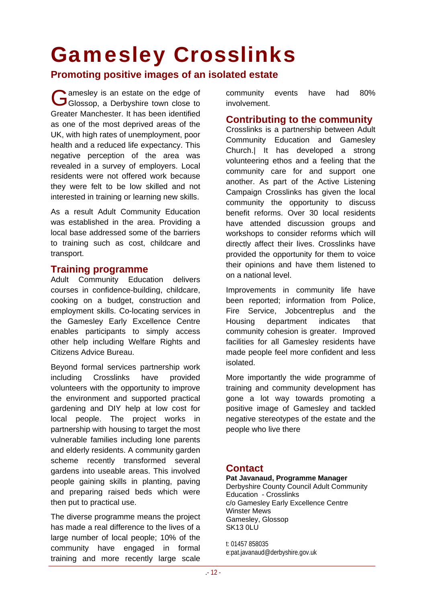### Gamesley Crosslinks

**Promoting positive images of an isolated estate** 

amesley is an estate on the edge of Gamesley is an estate on the edge of<br>Glossop, a Derbyshire town close to Greater Manchester. It has been identified as one of the most deprived areas of the UK, with high rates of unemployment, poor health and a reduced life expectancy. This negative perception of the area was revealed in a survey of employers. Local residents were not offered work because they were felt to be low skilled and not interested in training or learning new skills.

As a result Adult Community Education was established in the area. Providing a local base addressed some of the barriers to training such as cost, childcare and transport.

### **Training programme**

Adult Community Education delivers courses in confidence-building, childcare, cooking on a budget, construction and employment skills. Co-locating services in the Gamesley Early Excellence Centre enables participants to simply access other help including Welfare Rights and Citizens Advice Bureau.

Beyond formal services partnership work including Crosslinks have provided volunteers with the opportunity to improve the environment and supported practical gardening and DIY help at low cost for local people. The project works in partnership with housing to target the most vulnerable families including lone parents and elderly residents. A community garden scheme recently transformed several gardens into useable areas. This involved people gaining skills in planting, paving and preparing raised beds which were then put to practical use.

The diverse programme means the project has made a real difference to the lives of a large number of local people; 10% of the community have engaged in formal training and more recently large scale

community events have had 80% involvement.

#### **Contributing to the community**

Crosslinks is a partnership between Adult Community Education and Gamesley Church.| It has developed a strong volunteering ethos and a feeling that the community care for and support one another. As part of the Active Listening Campaign Crosslinks has given the local community the opportunity to discuss benefit reforms. Over 30 local residents have attended discussion groups and workshops to consider reforms which will directly affect their lives. Crosslinks have provided the opportunity for them to voice their opinions and have them listened to on a national level.

Improvements in community life have been reported; information from Police, Fire Service, Jobcentreplus and the Housing department indicates that community cohesion is greater. Improved facilities for all Gamesley residents have made people feel more confident and less isolated.

More importantly the wide programme of training and community development has gone a lot way towards promoting a positive image of Gamesley and tackled negative stereotypes of the estate and the people who live there

### **Contact**

#### **Pat Javanaud, Programme Manager**  Derbyshire County Council Adult Community

Education - Crosslinks c/o Gamesley Early Excellence Centre Winster Mews Gamesley, Glossop SK13 0LU

t: 01457 858035 e:pat.javanaud@derbyshire.gov.uk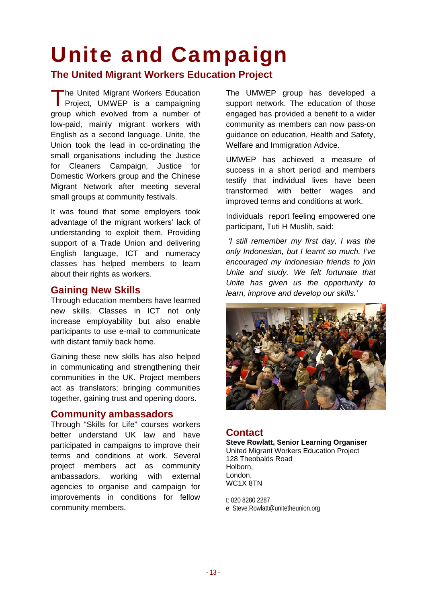### Unite and Campaign

**The United Migrant Workers Education Project** 

The United Migrant Workers Education<br>Project, UMWEP is a campaigning Project, UMWEP is a campaigning group which evolved from a number of low-paid, mainly migrant workers with English as a second language. Unite, the Union took the lead in co-ordinating the small organisations including the Justice for Cleaners Campaign, Justice for Domestic Workers group and the Chinese Migrant Network after meeting several small groups at community festivals.

It was found that some employers took advantage of the migrant workers' lack of understanding to exploit them. Providing support of a Trade Union and delivering English language, ICT and numeracy classes has helped members to learn about their rights as workers.

### **Gaining New Skills**

Through education members have learned new skills. Classes in ICT not only increase employability but also enable participants to use e-mail to communicate with distant family back home.

Gaining these new skills has also helped in communicating and strengthening their communities in the UK. Project members act as translators; bringing communities together, gaining trust and opening doors.

### **Community ambassadors**

Through "Skills for Life" courses workers better understand UK law and have participated in campaigns to improve their terms and conditions at work. Several project members act as community ambassadors, working with external agencies to organise and campaign for improvements in conditions for fellow community members.

The UMWEP group has developed a support network. The education of those engaged has provided a benefit to a wider community as members can now pass-on guidance on education, Health and Safety, Welfare and Immigration Advice.

UMWEP has achieved a measure of success in a short period and members testify that individual lives have been transformed with better wages and improved terms and conditions at work.

Individuals report feeling empowered one participant, Tuti H Muslih, said:

 *'I still remember my first day, I was the only Indonesian, but I learnt so much. I've encouraged my Indonesian friends to join Unite and study. We felt fortunate that Unite has given us the opportunity to learn, improve and develop our skills.'* 



### **Contact**

**Steve Rowlatt, Senior Learning Organiser** United Migrant Workers Education Project 128 Theobalds Road Holborn, London, WC1X 8TN

t: 020 8280 2287 e: Steve.Rowlatt@unitetheunion.org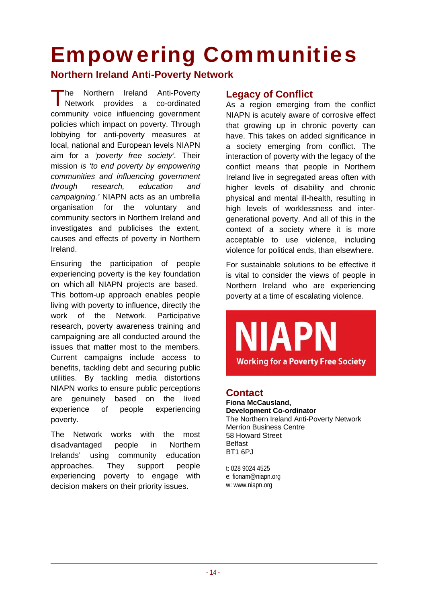### Empowering Communities

### **Northern Ireland Anti-Poverty Network**

he Northern Ireland Anti-Poverty The Northern Ireland Anti-Poverty<br>Network provides a co-ordinated community voice influencing government policies which impact on poverty. Through lobbying for anti-poverty measures at local, national and European levels NIAPN aim for a *'poverty free society'.* Their mission *is 'to end poverty by empowering communities and influencing government through research, education and campaigning.'* NIAPN acts as an umbrella organisation for the voluntary and community sectors in Northern Ireland and investigates and publicises the extent, causes and effects of poverty in Northern Ireland.

Ensuring the participation of people experiencing poverty is the key foundation on which all NIAPN projects are based. This bottom-up approach enables people living with poverty to influence, directly the work of the Network. Participative research, poverty awareness training and campaigning are all conducted around the issues that matter most to the members. Current campaigns include access to benefits, tackling debt and securing public utilities. By tackling media distortions NIAPN works to ensure public perceptions are genuinely based on the lived experience of people experiencing poverty.

The Network works with the most disadvantaged people in Northern Irelands' using community education approaches. They support people experiencing poverty to engage with decision makers on their priority issues.

### **Legacy of Conflict**

As a region emerging from the conflict NIAPN is acutely aware of corrosive effect that growing up in chronic poverty can have. This takes on added significance in a society emerging from conflict. The interaction of poverty with the legacy of the conflict means that people in Northern Ireland live in segregated areas often with higher levels of disability and chronic physical and mental ill-health, resulting in high levels of worklessness and intergenerational poverty. And all of this in the context of a society where it is more acceptable to use violence, including violence for political ends, than elsewhere.

For sustainable solutions to be effective it is vital to consider the views of people in Northern Ireland who are experiencing poverty at a time of escalating violence.

# **Working for a Poverty Free Society**

### **Contact**

**Fiona McCausland, Development Co-ordinator**  The Northern Ireland Anti-Poverty Network Merrion Business Centre 58 Howard Street Belfast BT1 6PJ

t: 028 9024 4525 e: fionam@niapn.org w: www.niapn.org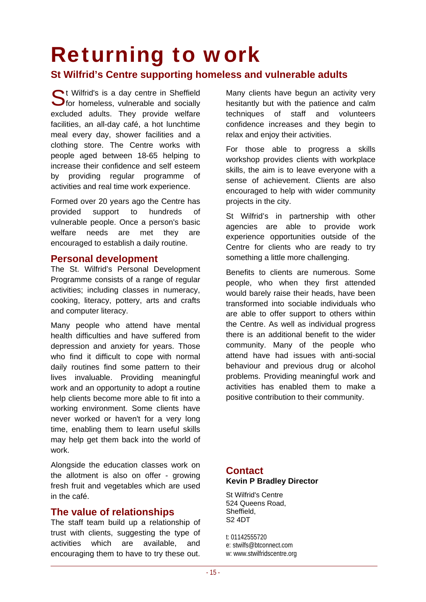### Returning to work

### **St Wilfrid's Centre supporting homeless and vulnerable adults**

St Wilfrid's is a day centre in Sheffield<br>Stor homeless, vulnerable and socially  $\bigcup$  for homeless, vulnerable and socially excluded adults. They provide welfare facilities, an all-day café, a hot lunchtime meal every day, shower facilities and a clothing store. The Centre works with people aged between 18-65 helping to increase their confidence and self esteem by providing regular programme of activities and real time work experience.

Formed over 20 years ago the Centre has provided support to hundreds of vulnerable people. Once a person's basic welfare needs are met they are encouraged to establish a daily routine.

#### **Personal development**

The St. Wilfrid's Personal Development Programme consists of a range of regular activities; including classes in numeracy, cooking, literacy, pottery, arts and crafts and computer literacy.

Many people who attend have mental health difficulties and have suffered from depression and anxiety for years. Those who find it difficult to cope with normal daily routines find some pattern to their lives invaluable. Providing meaningful work and an opportunity to adopt a routine help clients become more able to fit into a working environment. Some clients have never worked or haven't for a very long time, enabling them to learn useful skills may help get them back into the world of work.

Alongside the education classes work on the allotment is also on offer - growing fresh fruit and vegetables which are used in the café.

#### **The value of relationships**

The staff team build up a relationship of trust with clients, suggesting the type of activities which are available, and encouraging them to have to try these out. Many clients have begun an activity very hesitantly but with the patience and calm techniques of staff and volunteers confidence increases and they begin to relax and enjoy their activities.

For those able to progress a skills workshop provides clients with workplace skills, the aim is to leave everyone with a sense of achievement. Clients are also encouraged to help with wider community projects in the city.

St Wilfrid's in partnership with other agencies are able to provide work experience opportunities outside of the Centre for clients who are ready to try something a little more challenging.

Benefits to clients are numerous. Some people, who when they first attended would barely raise their heads, have been transformed into sociable individuals who are able to offer support to others within the Centre. As well as individual progress there is an additional benefit to the wider community. Many of the people who attend have had issues with anti-social behaviour and previous drug or alcohol problems. Providing meaningful work and activities has enabled them to make a positive contribution to their community.

#### **Contact Kevin P Bradley Director**

St Wilfrid's Centre 524 Queens Road, Sheffield, S2 4DT

t: 01142555720 e: stwilfs@btconnect.com w: www.stwilfridscentre.org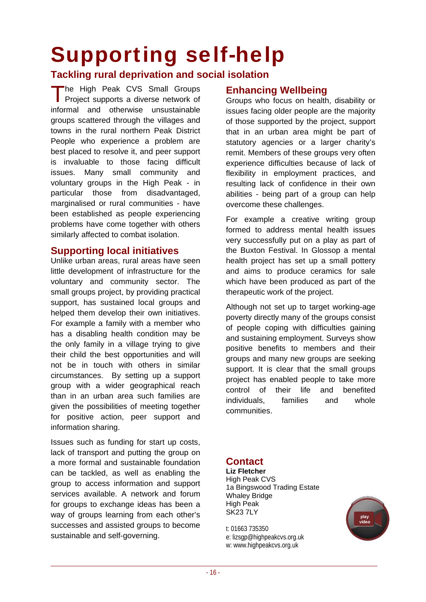### Supporting self-help

### **Tackling rural deprivation and social isolation**

he High Peak CVS Small Groups The High Peak CVS Small Groups<br>Project supports a diverse network of informal and otherwise unsustainable groups scattered through the villages and towns in the rural northern Peak District People who experience a problem are best placed to resolve it, and peer support is invaluable to those facing difficult issues. Many small community and voluntary groups in the High Peak - in particular those from disadvantaged, marginalised or rural communities - have been established as people experiencing problems have come together with others similarly affected to combat isolation.

### **Supporting local initiatives**

Unlike urban areas, rural areas have seen little development of infrastructure for the voluntary and community sector. The small groups project, by providing practical support, has sustained local groups and helped them develop their own initiatives. For example a family with a member who has a disabling health condition may be the only family in a village trying to give their child the best opportunities and will not be in touch with others in similar circumstances. By setting up a support group with a wider geographical reach than in an urban area such families are given the possibilities of meeting together for positive action, peer support and information sharing.

Issues such as funding for start up costs, lack of transport and putting the group on a more formal and sustainable foundation can be tackled, as well as enabling the group to access information and support services available. A network and forum for groups to exchange ideas has been a way of groups learning from each other's successes and assisted groups to become sustainable and self-governing.

### **Enhancing Wellbeing**

Groups who focus on health, disability or issues facing older people are the majority of those supported by the project, support that in an urban area might be part of statutory agencies or a larger charity's remit. Members of these groups very often experience difficulties because of lack of flexibility in employment practices, and resulting lack of confidence in their own abilities - being part of a group can help overcome these challenges.

For example a creative writing group formed to address mental health issues very successfully put on a play as part of the Buxton Festival. In Glossop a mental health project has set up a small pottery and aims to produce ceramics for sale which have been produced as part of the therapeutic work of the project.

Although not set up to target working-age poverty directly many of the groups consist of people coping with difficulties gaining and sustaining employment. Surveys show positive benefits to members and their groups and many new groups are seeking support. It is clear that the small groups project has enabled people to take more control of their life and benefited individuals, families and whole communities.

### **Contact**

**Liz Fletcher**  High Peak CVS 1a Bingswood Trading Estate Whaley Bridge High Peak SK23 7LY

t: 01663 735350 e: lizsgp@highpeakcvs.org.uk w: www.highpeakcvs.org.uk

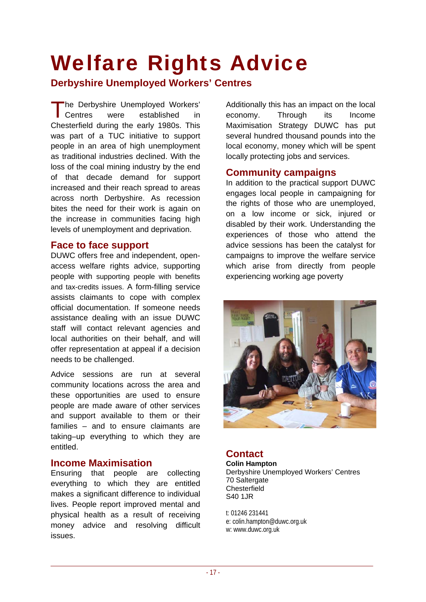### Welfare Rights Advice

### **Derbyshire Unemployed Workers' Centres**

he Derbyshire Unemployed Workers' were established in Chesterfield during the early 1980s. This was part of a TUC initiative to support people in an area of high unemployment as traditional industries declined. With the loss of the coal mining industry by the end of that decade demand for support increased and their reach spread to areas across north Derbyshire. As recession bites the need for their work is again on the increase in communities facing high levels of unemployment and deprivation. Centres

### **Face to face support**

DUWC offers free and independent, openaccess welfare rights advice, supporting people with supporting people with benefits and tax-credits issues. A form-filling service assists claimants to cope with complex official documentation. If someone needs assistance dealing with an issue DUWC staff will contact relevant agencies and local authorities on their behalf, and will offer representation at appeal if a decision needs to be challenged.

Advice sessions are run at several community locations across the area and these opportunities are used to ensure people are made aware of other services and support available to them or their families – and to ensure claimants are taking–up everything to which they are entitled.

#### **Income Maximisation**

Ensuring that people are collecting everything to which they are entitled makes a significant difference to individual lives. People report improved mental and physical health as a result of receiving money advice and resolving difficult issues.

Additionally this has an impact on the local economy. Through its Income Maximisation Strategy DUWC has put several hundred thousand pounds into the local economy, money which will be spent locally protecting jobs and services.

#### **Community campaigns**

In addition to the practical support DUWC engages local people in campaigning for the rights of those who are unemployed, on a low income or sick, injured or disabled by their work. Understanding the experiences of those who attend the advice sessions has been the catalyst for campaigns to improve the welfare service which arise from directly from people experiencing working age poverty



### **Contact**

**Colin Hampton**  Derbyshire Unemployed Workers' Centres 70 Saltergate **Chesterfield** S40 1JR

t: 01246 231441 e: colin.hampton@duwc.org.uk w: www.duwc.org.uk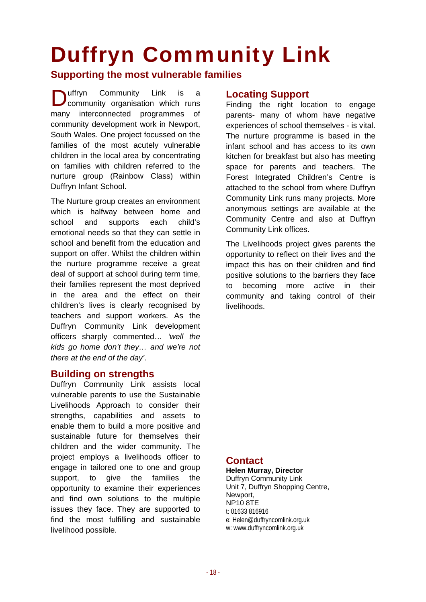# Duffryn Community Link

### **Supporting the most vulnerable families**

Community Link is a community organisation which runs many interconnected programmes of community development work in Newport, South Wales. One project focussed on the families of the most acutely vulnerable children in the local area by concentrating on families with children referred to the nurture group (Rainbow Class) within Duffryn Infant School. uffrvn

The Nurture group creates an environment which is halfway between home and school and supports each child's emotional needs so that they can settle in school and benefit from the education and support on offer. Whilst the children within the nurture programme receive a great deal of support at school during term time, their families represent the most deprived in the area and the effect on their children's lives is clearly recognised by teachers and support workers. As the Duffryn Community Link development officers sharply commented… *'well the kids go home don't they… and we're not there at the end of the day'*.

### **Building on strengths**

Duffryn Community Link assists local vulnerable parents to use the Sustainable Livelihoods Approach to consider their strengths, capabilities and assets to enable them to build a more positive and sustainable future for themselves their children and the wider community. The project employs a livelihoods officer to engage in tailored one to one and group support, to give the families the opportunity to examine their experiences and find own solutions to the multiple issues they face. They are supported to find the most fulfilling and sustainable livelihood possible.

#### **Locating Support**

Finding the right location to engage parents- many of whom have negative experiences of school themselves - is vital. The nurture programme is based in the infant school and has access to its own kitchen for breakfast but also has meeting space for parents and teachers. The Forest Integrated Children's Centre is attached to the school from where Duffryn Community Link runs many projects. More anonymous settings are available at the Community Centre and also at Duffryn Community Link offices.

The Livelihoods project gives parents the opportunity to reflect on their lives and the impact this has on their children and find positive solutions to the barriers they face to becoming more active in their community and taking control of their livelihoods.

### **Contact**

**Helen Murray, Director**  Duffryn Community Link Unit 7, Duffryn Shopping Centre, Newport, NP10 8TE t: 01633 816916 e: Helen@duffryncomlink.org.uk w: www.duffryncomlink.org.uk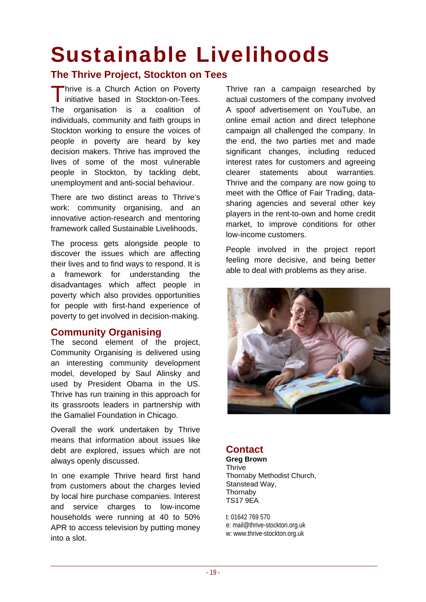### Sustainable Livelihoods

### **The Thrive Project, Stockton on Tees**

Thrive is a Church Action on Poverty Thrive is a Church Action on Poverty<br>initiative based in Stockton-on-Tees. The organisation is a coalition of individuals, community and faith groups in Stockton working to ensure the voices of people in poverty are heard by key decision makers. Thrive has improved the lives of some of the most vulnerable people in Stockton, by tackling debt, unemployment and anti-social behaviour.

There are two distinct areas to Thrive's work: community organising, and an innovative action-research and mentoring framework called Sustainable Livelihoods,

The process gets alongside people to discover the issues which are affecting their lives and to find ways to respond. It is a framework for understanding the disadvantages which affect people in poverty which also provides opportunities for people with first-hand experience of poverty to get involved in decision-making.

### **Community Organising**

The second element of the project, Community Organising is delivered using an interesting community development model, developed by Saul Alinsky and used by President Obama in the US. Thrive has run training in this approach for its grassroots leaders in partnership with the Gamaliel Foundation in Chicago.

Overall the work undertaken by Thrive means that information about issues like debt are explored, issues which are not always openly discussed.

In one example Thrive heard first hand from customers about the charges levied by local hire purchase companies. Interest and service charges to low-income households were running at 40 to 50% APR to access television by putting money into a slot.

Thrive ran a campaign researched by actual customers of the company involved A spoof advertisement on YouTube, an online email action and direct telephone campaign all challenged the company. In the end, the two parties met and made significant changes, including reduced interest rates for customers and agreeing clearer statements about warranties. Thrive and the company are now going to meet with the Office of Fair Trading, datasharing agencies and several other key players in the rent-to-own and home credit market, to improve conditions for other low-income customers.

People involved in the project report feeling more decisive, and being better able to deal with problems as they arise.



### **Contact**

**Greg Brown Thrive** Thornaby Methodist Church, Stanstead Way, **Thornaby** TS17 9EA

t: 01642 769 570 e: mail@thrive-stockton.org.uk w: www.thrive-stockton.org.uk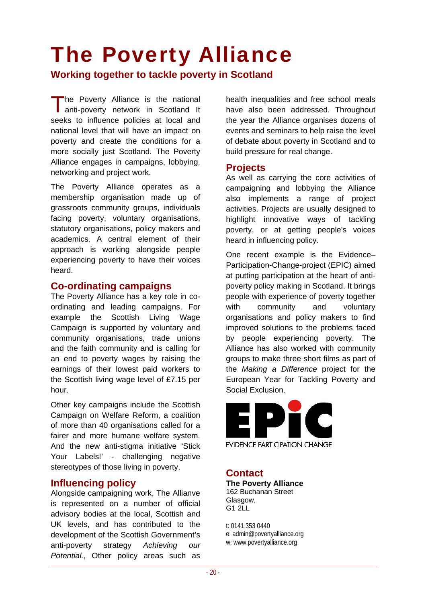### The Poverty Alliance

**Working together to tackle poverty in Scotland** 

The Poverty Alliance is the national<br>anti-poverty network in Scotland It anti-poverty network in Scotland It seeks to influence policies at local and national level that will have an impact on poverty and create the conditions for a more socially just Scotland. The Poverty Alliance engages in campaigns, lobbying, networking and project work.

The Poverty Alliance operates as a membership organisation made up of grassroots community groups, individuals facing poverty, voluntary organisations, statutory organisations, policy makers and academics. A central element of their approach is working alongside people experiencing poverty to have their voices heard.

#### **Co-ordinating campaigns**

The Poverty Alliance has a key role in coordinating and leading campaigns. For example the Scottish Living Wage Campaign is supported by voluntary and community organisations, trade unions and the faith community and is calling for an end to poverty wages by raising the earnings of their lowest paid workers to the Scottish living wage level of £7.15 per hour.

Other key campaigns include the Scottish Campaign on Welfare Reform, a coalition of more than 40 organisations called for a fairer and more humane welfare system. And the new anti-stigma initiative 'Stick Your Labels!' - challenging negative stereotypes of those living in poverty.

### **Influencing policy**

Alongside campaigning work, The Allianve is represented on a number of official advisory bodies at the local, Scottish and UK levels, and has contributed to the development of the Scottish Government's anti-poverty strategy *Achieving our Potential.*, Other policy areas such as

health inequalities and free school meals have also been addressed. Throughout the year the Alliance organises dozens of events and seminars to help raise the level of debate about poverty in Scotland and to build pressure for real change.

#### **Projects**

As well as carrying the core activities of campaigning and lobbying the Alliance also implements a range of project activities. Projects are usually designed to highlight innovative ways of tackling poverty, or at getting people's voices heard in influencing policy.

One recent example is the Evidence– Participation-Change-project (EPIC) aimed at putting participation at the heart of antipoverty policy making in Scotland. It brings people with experience of poverty together with community and voluntary organisations and policy makers to find improved solutions to the problems faced by people experiencing poverty. The Alliance has also worked with community groups to make [three short films as part o](http://www.youtube.com/watch?v=xDc8XSqOAF0)f the *Making a Difference* project for the European Year for Tackling Poverty and Social Exclusion.



### **Contact**

**The Poverty Alliance** 162 Buchanan Street Glasgow,  $G12L$ 

t: 0141 353 0440 e: admin@povertyalliance.org w: www.povertyalliance.org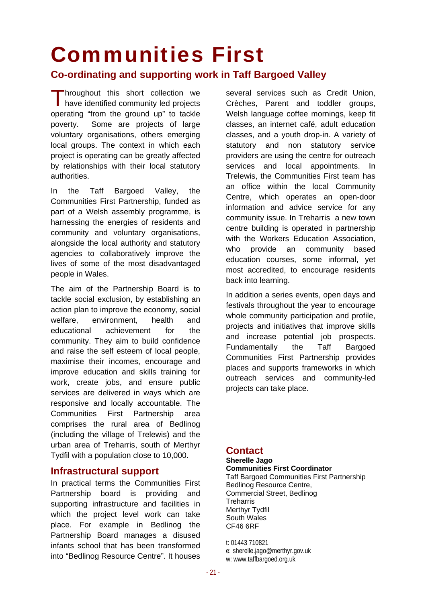### Communities First

### **Co-ordinating and supporting work in Taff Bargoed Valley**

Throughout this short collection we<br>have identified community led projects have identified community led projects operating "from the ground up" to tackle poverty. Some are projects of large voluntary organisations, others emerging local groups. The context in which each project is operating can be greatly affected by relationships with their local statutory authorities.

In the Taff Bargoed Valley, the Communities First Partnership, funded as part of a Welsh assembly programme, is harnessing the energies of residents and community and voluntary organisations, alongside the local authority and statutory agencies to collaboratively improve the lives of some of the most disadvantaged people in Wales.

The aim of the Partnership Board is to tackle social exclusion, by establishing an action plan to improve the economy, social welfare, environment, health and educational achievement for the community. They aim to build confidence and raise the self esteem of local people, maximise their incomes, encourage and improve education and skills training for work, create jobs, and ensure public services are delivered in ways which are responsive and locally accountable. The Communities First Partnership area comprises the rural area of Bedlinog (including the village of Trelewis) and the urban area of Treharris, south of Merthyr Tydfil with a population close to 10,000.

#### **Infrastructural support**

In practical terms the Communities First Partnership board is providing and supporting infrastructure and facilities in which the project level work can take place. For example in Bedlinog the Partnership Board manages a disused infants school that has been transformed into "Bedlinog Resource Centre". It houses

several services such as Credit Union, Crèches, Parent and toddler groups, Welsh language coffee mornings, keep fit classes, an internet café, adult education classes, and a youth drop-in. A variety of statutory and non statutory service providers are using the centre for outreach services and local appointments. In Trelewis, the Communities First team has an office within the local Community Centre, which operates an open-door information and advice service for any community issue. In Treharris a new town centre building is operated in partnership with the Workers Education Association. who provide an community based education courses, some informal, yet most accredited, to encourage residents back into learning.

In addition a series events, open days and festivals throughout the year to encourage whole community participation and profile, projects and initiatives that improve skills and increase potential job prospects. Fundamentally the Taff Bargoed Communities First Partnership provides places and supports frameworks in which outreach services and community-led projects can take place.

### **Contact**

#### **Sherelle Jago Communities First Coordinator**

Taff Bargoed Communities First Partnership Bedlinog Resource Centre, Commercial Street, Bedlinog **Treharris** Merthyr Tydfil South Wales CF46 6RF

t: 01443 710821 e: sherelle.jago@merthyr.gov.uk w: www.taffbargoed.org.uk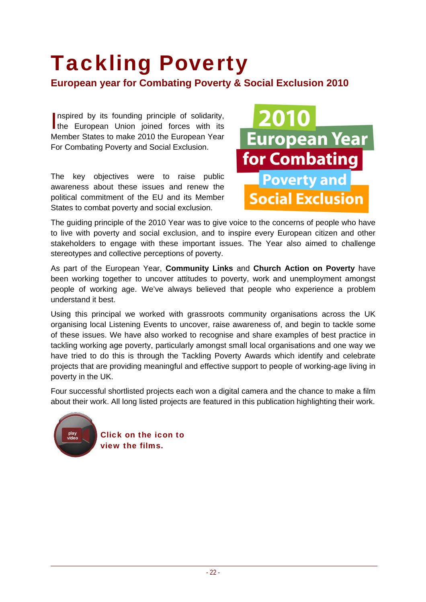### Tackling Poverty **European year for Combating Poverty & Social Exclusion 2010**

nspired by its founding principle of solidarity, Inspired by its founding principle of solidarity,<br>the European Union joined forces with its Member States to make 2010 the European Year For Combating Poverty and Social Exclusion.

The key objectives were to raise public awareness about these issues and renew the political commitment of the EU and its Member States to combat poverty and social exclusion.



The guiding principle of the 2010 Year was to give voice to the concerns of people who have to live with poverty and social exclusion, and to inspire every European citizen and other stakeholders to engage with these important issues. The Year also aimed to challenge stereotypes and collective perceptions of poverty.

As part of the European Year, **Community Links** and **Church Action on Poverty** have been working together to uncover attitudes to poverty, work and unemployment amongst people of working age. We've always believed that people who experience a problem understand it best.

Using this principal we worked with grassroots community organisations across the UK organising local Listening Events to uncover, raise awareness of, and begin to tackle some of these issues. We have also worked to recognise and share examples of best practice in tackling working age poverty, particularly amongst small local organisations and one way we have tried to do this is through the Tackling Poverty Awards which identify and celebrate projects that are providing meaningful and effective support to people of working-age living in poverty in the UK.

Four successful shortlisted projects each won a digital camera and the chance to make a film about their work. All long listed projects are featured in this publication highlighting their work.



play **Click on the icon to** view the films.